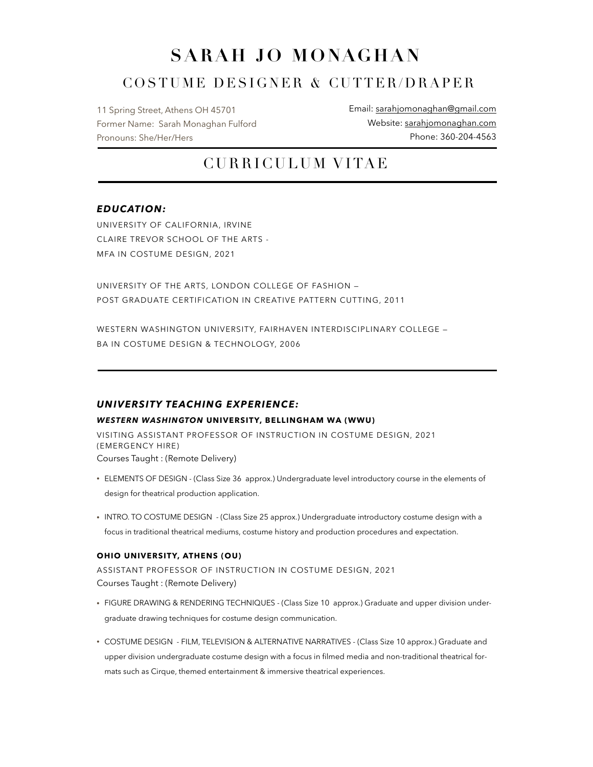# **SARAH JO MONAGHAN**

## COSTUME DESIGNER & CUTTER/DRAPER

11 Spring Street, Athens OH 45701 Former Name: Sarah Monaghan Fulford Pronouns: She/Her/Hers

Email: [sarahjomonaghan@gmail.com](mailto:sarah.fulford.83@gmail.com)  Website: [sarahjomonaghan.com](https://sarahmfulford.wixsite.com/sarahmfulford) Phone: 360-204-4563

## CURRICULUM VITAE

## *EDUCATION:*

UNIVERSITY OF CALIFORNIA, IRVINE CLAIRE TREVOR SCHOOL OF THE ARTS - MFA IN COSTUME DESIGN, 2021

UNIVERSITY OF THE ARTS, LONDON COLLEGE OF FASHION — POST GRADUATE CERTIFICATION IN CREATIVE PATTERN CUTTING, 2011

WESTERN WASHINGTON UNIVERSITY, FAIRHAVEN INTERDISCIPLINARY COLLEGE -BA IN COSTUME DESIGN & TECHNOLOGY, 2006

## *UNIVERSITY TEACHING EXPERIENCE:*

#### *WESTERN WASHINGTON* **UNIVERSITY, BELLINGHAM WA (WWU)**

VISITING ASSISTANT PROFESSOR OF INSTRUCTION IN COSTUME DESIGN, 2021 (EMERGENCY HIRE) Courses Taught : (Remote Delivery)

- ELEMENTS OF DESIGN (Class Size 36 approx.) Undergraduate level introductory course in the elements of design for theatrical production application.
- INTRO. TO COSTUME DESIGN (Class Size 25 approx.) Undergraduate introductory costume design with a focus in traditional theatrical mediums, costume history and production procedures and expectation.

#### **OHIO UNIVERSITY, ATHENS (OU)**

ASSISTANT PROFESSOR OF INSTRUCTION IN COSTUME DESIGN, 2021 Courses Taught : (Remote Delivery)

- FIGURE DRAWING & RENDERING TECHNIQUES (Class Size 10 approx.) Graduate and upper division undergraduate drawing techniques for costume design communication.
- COSTUME DESIGN FILM, TELEVISION & ALTERNATIVE NARRATIVES (Class Size 10 approx.) Graduate and upper division undergraduate costume design with a focus in filmed media and non-traditional theatrical formats such as Cirque, themed entertainment & immersive theatrical experiences.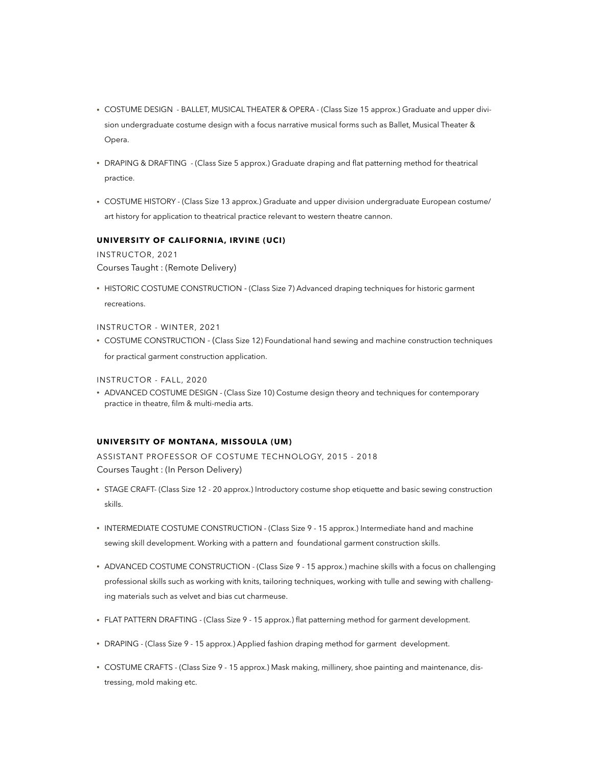- COSTUME DESIGN BALLET, MUSICAL THEATER & OPERA (Class Size 15 approx.) Graduate and upper division undergraduate costume design with a focus narrative musical forms such as Ballet, Musical Theater & Opera.
- DRAPING & DRAFTING (Class Size 5 approx.) Graduate draping and flat patterning method for theatrical practice.
- COSTUME HISTORY (Class Size 13 approx.) Graduate and upper division undergraduate European costume/ art history for application to theatrical practice relevant to western theatre cannon.

#### **UNIVERSITY OF CALIFORNIA, IRVINE (UCI)**

INSTRUCTOR, 2021 Courses Taught : (Remote Delivery)

• HISTORIC COSTUME CONSTRUCTION - (Class Size 7) Advanced draping techniques for historic garment recreations.

#### INSTRUCTOR - WINTER, 2021

• COSTUME CONSTRUCTION - (Class Size 12) Foundational hand sewing and machine construction techniques for practical garment construction application.

INSTRUCTOR - FALL, 2020

• ADVANCED COSTUME DESIGN - (Class Size 10) Costume design theory and techniques for contemporary practice in theatre, film & multi-media arts.

#### **UNIVERSITY OF MONTANA, MISSOULA (UM)**

ASSISTANT PROFESSOR OF COSTUME TECHNOLOGY, 2015 - 2018 Courses Taught : (In Person Delivery)

- STAGE CRAFT- (Class Size 12 20 approx.) Introductory costume shop etiquette and basic sewing construction skills.
- INTERMEDIATE COSTUME CONSTRUCTION (Class Size 9 15 approx.) Intermediate hand and machine sewing skill development. Working with a pattern and foundational garment construction skills.
- ADVANCED COSTUME CONSTRUCTION (Class Size 9 15 approx.) machine skills with a focus on challenging professional skills such as working with knits, tailoring techniques, working with tulle and sewing with challenging materials such as velvet and bias cut charmeuse.
- FLAT PATTERN DRAFTING (Class Size 9 15 approx.) flat patterning method for garment development.
- DRAPING (Class Size 9 15 approx.) Applied fashion draping method for garment development.
- COSTUME CRAFTS (Class Size 9 15 approx.) Mask making, millinery, shoe painting and maintenance, distressing, mold making etc.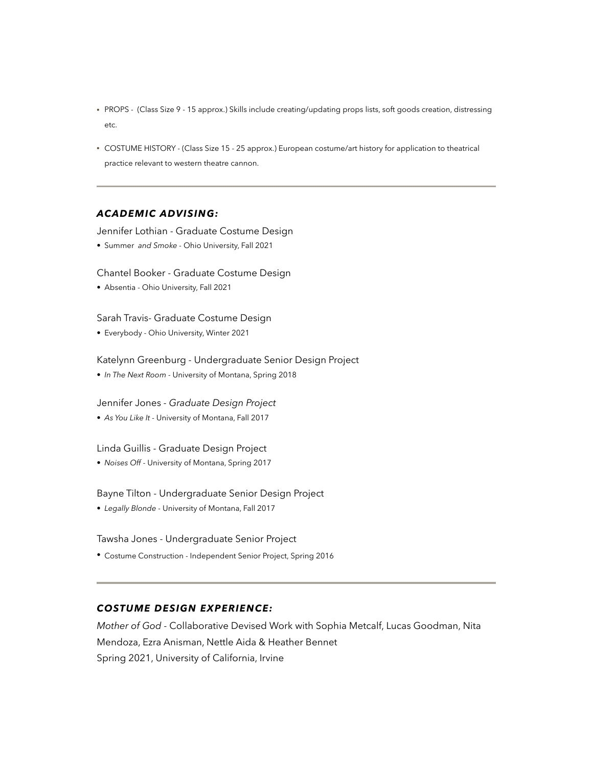- PROPS (Class Size 9 15 approx.) Skills include creating/updating props lists, soft goods creation, distressing etc.
- COSTUME HISTORY (Class Size 15 25 approx.) European costume/art history for application to theatrical practice relevant to western theatre cannon.

## *ACADEMIC ADVISING:*

Jennifer Lothian - Graduate Costume Design

*•* Summer *and Smoke -* Ohio University, Fall 2021

Chantel Booker - Graduate Costume Design

*•* Absentia *-* Ohio University, Fall 2021

Sarah Travis- Graduate Costume Design

*•* Everybody *-* Ohio University, Winter 2021

Katelynn Greenburg - Undergraduate Senior Design Project

*• In The Next Room -* University of Montana, Spring 2018

Jennifer Jones *- Graduate Design Project*

*• As You Like It -* University of Montana, Fall 2017

Linda Guillis - Graduate Design Project

*• Noises Off -* University of Montana, Spring 2017

Bayne Tilton - Undergraduate Senior Design Project

*• Legally Blonde -* University of Montana, Fall 2017

Tawsha Jones - Undergraduate Senior Project

*•* Costume Construction - Independent Senior Project, Spring 2016

## *COSTUME DESIGN EXPERIENCE:*

*Mother of God -* Collaborative Devised Work with Sophia Metcalf, Lucas Goodman, Nita Mendoza, Ezra Anisman, Nettle Aida & Heather Bennet Spring 2021, University of California, Irvine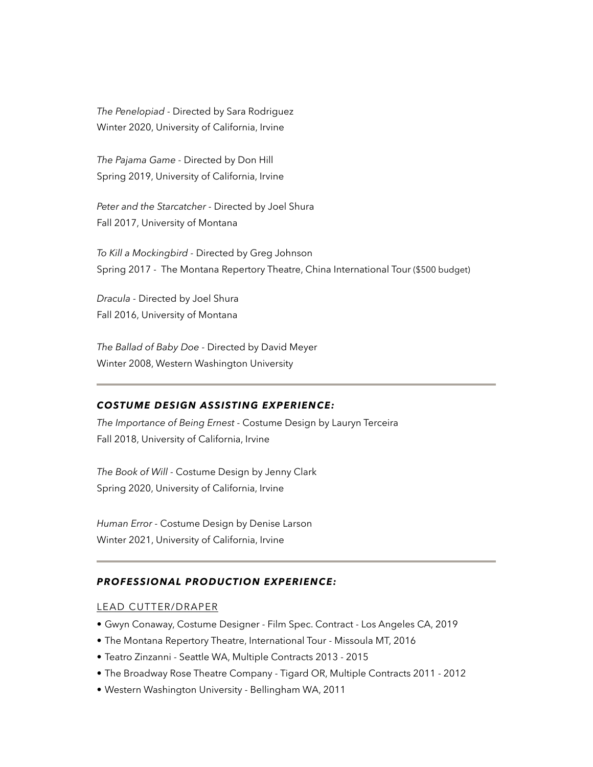*The Penelopiad -* Directed by Sara Rodriguez Winter 2020, University of California, Irvine

*The Pajama Game -* Directed by Don Hill Spring 2019, University of California, Irvine

*Peter and the Starcatcher -* Directed by Joel Shura Fall 2017, University of Montana

*To Kill a Mockingbird -* Directed by Greg Johnson Spring 2017 - The Montana Repertory Theatre, China International Tour (\$500 budget)

*Dracula -* Directed by Joel Shura Fall 2016, University of Montana

*The Ballad of Baby Doe -* Directed by David Meyer Winter 2008, Western Washington University

## *COSTUME DESIGN ASSISTING EXPERIENCE:*

*The Importance of Being Ernest -* Costume Design by Lauryn Terceira Fall 2018, University of California, Irvine

*The Book of Will -* Costume Design by Jenny Clark Spring 2020, University of California, Irvine

*Human Error -* Costume Design by Denise Larson Winter 2021, University of California, Irvine

## *PROFESSIONAL PRODUCTION EXPERIENCE:*

## LEAD CUTTER/DRAPER

- Gwyn Conaway, Costume Designer Film Spec. Contract Los Angeles CA, 2019
- The Montana Repertory Theatre, International Tour Missoula MT, 2016
- Teatro Zinzanni Seattle WA, Multiple Contracts 2013 2015
- The Broadway Rose Theatre Company Tigard OR, Multiple Contracts 2011 2012
- Western Washington University Bellingham WA, 2011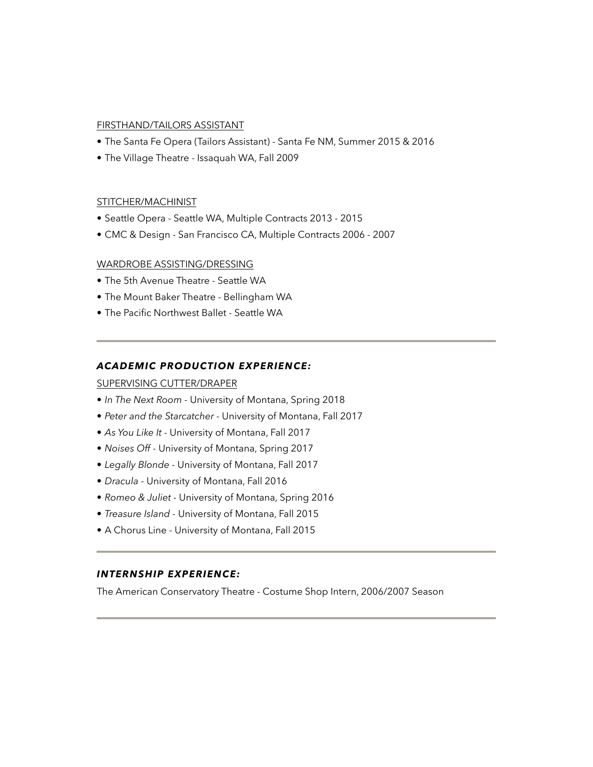#### FIRSTHAND/TAILORS ASSISTANT

- The Santa Fe Opera (Tailors Assistant) Santa Fe NM, Summer 2015 & 2016
- The Village Theatre Issaquah WA, Fall 2009

#### STITCHER/MACHINIST

- Seattle Opera Seattle WA, Multiple Contracts 2013 2015
- CMC & Design San Francisco CA, Multiple Contracts 2006 2007

#### WARDROBE ASSISTING/DRESSING

- The 5th Avenue Theatre Seattle WA
- The Mount Baker Theatre Bellingham WA
- The Pacific Northwest Ballet Seattle WA

#### *ACADEMIC PRODUCTION EXPERIENCE:*

#### SUPERVISING CUTTER/DRAPER

- *In The Next Room -* University of Montana, Spring 2018
- *Peter and the Starcatcher* University of Montana, Fall 2017
- *As You Like It* University of Montana, Fall 2017
- *Noises Off* University of Montana, Spring 2017
- *Legally Blonde* University of Montana, Fall 2017
- *Dracula* University of Montana, Fall 2016
- *Romeo & Juliet* University of Montana, Spring 2016
- *Treasure Island* University of Montana, Fall 2015
- A Chorus Line University of Montana, Fall 2015

## *INTERNSHIP EXPERIENCE:*

The American Conservatory Theatre *-* Costume Shop Intern, 2006/2007 Season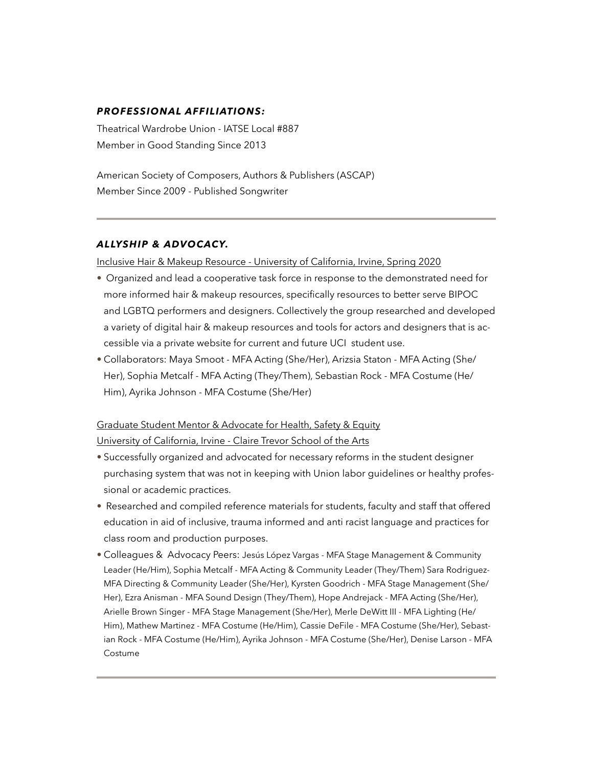## *PROFESSIONAL AFFILIATIONS:*

Theatrical Wardrobe Union - IATSE Local #887 Member in Good Standing Since 2013

American Society of Composers, Authors & Publishers (ASCAP) Member Since 2009 - Published Songwriter

## *ALLYSHIP & ADVOCACY.*

Inclusive Hair & Makeup Resource - University of California, Irvine, Spring 2020

- Organized and lead a cooperative task force in response to the demonstrated need for more informed hair & makeup resources, specifically resources to better serve BIPOC and LGBTQ performers and designers. Collectively the group researched and developed a variety of digital hair & makeup resources and tools for actors and designers that is accessible via a private website for current and future UCI student use.
- Collaborators: Maya Smoot MFA Acting (She/Her), Arizsia Staton MFA Acting (She/ Her), Sophia Metcalf - MFA Acting (They/Them), Sebastian Rock - MFA Costume (He/ Him), Ayrika Johnson - MFA Costume (She/Her)

## Graduate Student Mentor & Advocate for Health, Safety & Equity

University of California, Irvine - Claire Trevor School of the Arts

- Successfully organized and advocated for necessary reforms in the student designer purchasing system that was not in keeping with Union labor guidelines or healthy professional or academic practices.
- Researched and compiled reference materials for students, faculty and staff that offered education in aid of inclusive, trauma informed and anti racist language and practices for class room and production purposes.
- Colleagues & Advocacy Peers: Jesús López Vargas MFA Stage Management & Community Leader (He/Him), Sophia Metcalf - MFA Acting & Community Leader (They/Them) Sara Rodriguez-MFA Directing & Community Leader (She/Her), Kyrsten Goodrich - MFA Stage Management (She/ Her), Ezra Anisman - MFA Sound Design (They/Them), Hope Andrejack - MFA Acting (She/Her), Arielle Brown Singer - MFA Stage Management (She/Her), Merle DeWitt III - MFA Lighting (He/ Him), Mathew Martinez - MFA Costume (He/Him), Cassie DeFile - MFA Costume (She/Her), Sebastian Rock - MFA Costume (He/Him), Ayrika Johnson - MFA Costume (She/Her), Denise Larson - MFA Costume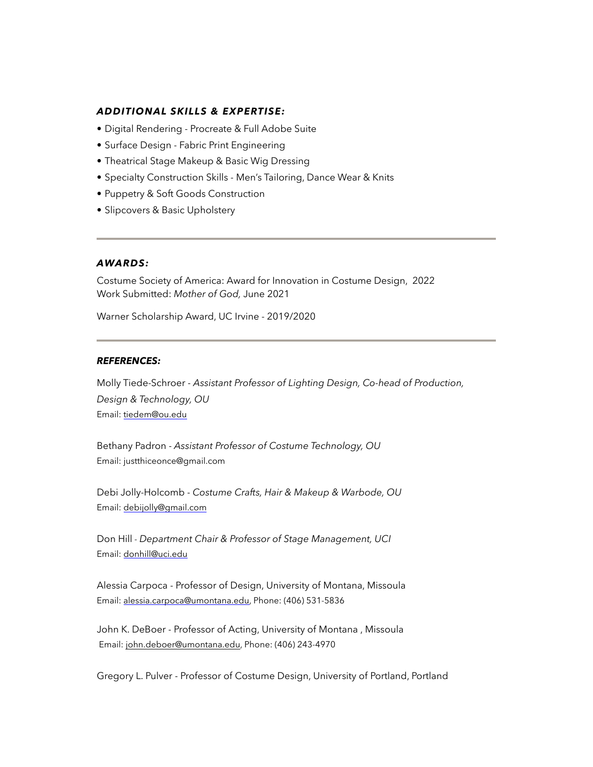#### *ADDITIONAL SKILLS & EXPERTISE:*

- Digital Rendering Procreate & Full Adobe Suite
- Surface Design Fabric Print Engineering
- Theatrical Stage Makeup & Basic Wig Dressing
- Specialty Construction Skills *-* Men's Tailoring, Dance Wear & Knits
- Puppetry & Soft Goods Construction
- Slipcovers & Basic Upholstery

## *AWARDS:*

Costume Society of America: Award for Innovation in Costume Design, 2022 Work Submitted: *Mother of God,* June 2021

Warner Scholarship Award, UC Irvine - 2019/2020

#### *REFERENCES:*

Molly Tiede-Schroer *- Assistant Professor of Lighting Design, Co-head of Production, Design & Technology, OU*  Email: [tiedem@ou.edu](mailto:tiedem@ou.edu)

Bethany Padron - *Assistant Professor of Costume Technology, OU*  Email: justthiceonce@gmail.com

Debi Jolly-Holcomb - *Costume Crafts, Hair & Makeup & Warbode, OU* Email: [debijolly@gmail.com](mailto:debijolly@gmail.com)

Don Hill *- Department Chair & Professor of Stage Management, UCI* Email: [donhill@uci.edu](mailto:donhill@uci.edu)

Alessia Carpoca - Professor of Design, University of Montana, Missoula Email: [alessia.carpoca@umontana.edu](mailto:alessia.carpoca@umontana.edu), Phone: (406) 531-5836

John K. DeBoer - Professor of Acting, University of Montana , Missoula Email: [john.deboer@umontana.edu](mailto:john.deboer@umontana.edu), Phone: (406) 243-4970

Gregory L. Pulver - Professor of Costume Design, University of Portland, Portland